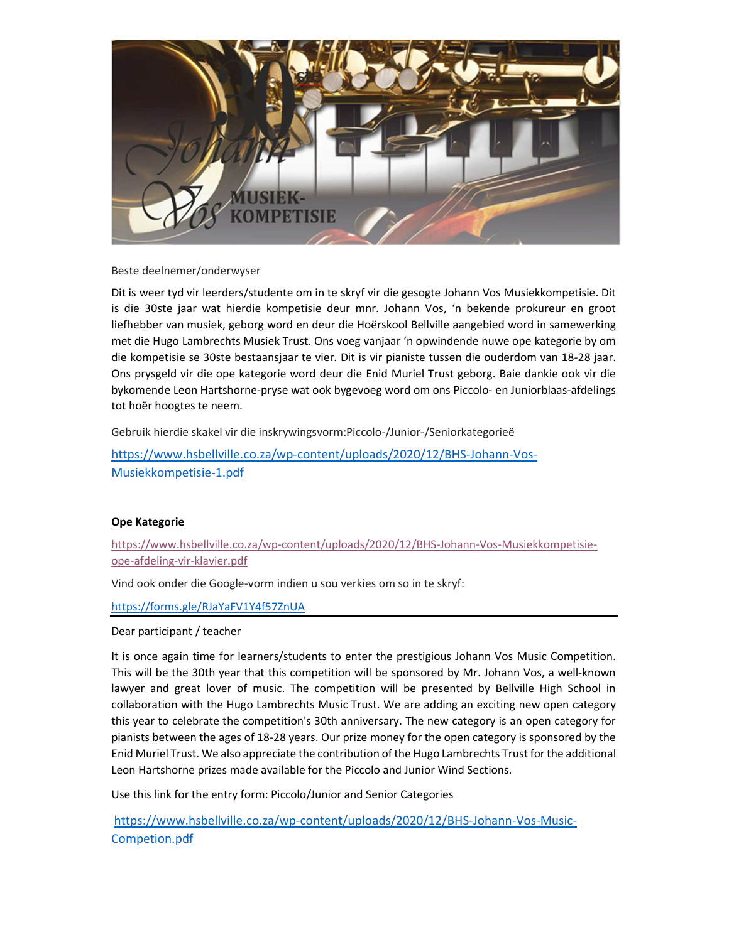

Beste deelnemer/onderwyser

Dit is weer tyd vir leerders/studente om in te skryf vir die gesogte Johann Vos Musiekkompetisie. Dit is die 30ste jaar wat hierdie kompetisie deur mnr. Johann Vos, 'n bekende prokureur en groot liefhebber van musiek, geborg word en deur die Hoërskool Bellville aangebied word in samewerking met die Hugo Lambrechts Musiek Trust. Ons voeg vanjaar 'n opwindende nuwe ope kategorie by om die kompetisie se 30ste bestaansjaar te vier. Dit is vir pianiste tussen die ouderdom van 18-28 jaar. Ons prysgeld vir die ope kategorie word deur die Enid Muriel Trust geborg. Baie dankie ook vir die bykomende Leon Hartshorne-pryse wat ook bygevoeg word om ons Piccolo- en Juniorblaas-afdelings tot hoër hoogtes te neem.

Gebruik hierdie skakel vir die inskrywingsvorm:Piccolo-/Junior-/Seniorkategorieë

https://www.hsbellville.co.za/wp-content/uploads/2020/12/BHS-Johann-Vos-Musiekkompetisie-1.pdf

## Ope Kategorie

https://www.hsbellville.co.za/wp-content/uploads/2020/12/BHS-Johann-Vos-Musiekkompetisieope-afdeling-vir-klavier.pdf

Vind ook onder die Google-vorm indien u sou verkies om so in te skryf:

https://forms.gle/RJaYaFV1Y4f57ZnUA

Dear participant / teacher

It is once again time for learners/students to enter the prestigious Johann Vos Music Competition. This will be the 30th year that this competition will be sponsored by Mr. Johann Vos, a well-known lawyer and great lover of music. The competition will be presented by Bellville High School in collaboration with the Hugo Lambrechts Music Trust. We are adding an exciting new open category this year to celebrate the competition's 30th anniversary. The new category is an open category for pianists between the ages of 18-28 years. Our prize money for the open category is sponsored by the Enid Muriel Trust. We also appreciate the contribution of the Hugo Lambrechts Trust for the additional Leon Hartshorne prizes made available for the Piccolo and Junior Wind Sections.

Use this link for the entry form: Piccolo/Junior and Senior Categories

https://www.hsbellville.co.za/wp-content/uploads/2020/12/BHS-Johann-Vos-Music-Competion.pdf